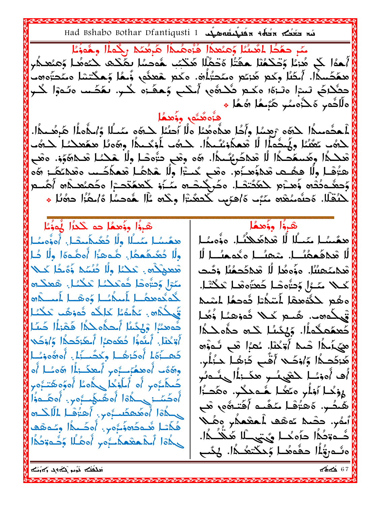Had Bshabo Bothar Dfantiqusti 1 المستحدين بدين المستحكم المستحكم المستحدث

مِّد حَمَّطُ امْسُنُا وَعِنْعِدًا فَزْوِعُدًا هُرمُنَكُمْ رَجَّدَاً! وَهُوَذُنَا أَهِمَا ۖ لَكِ مُرْمًا وَتَحْكَمُنَا هَفَتُا هَتَحَبُّلَا مَحْكَبَ هُوصِبًا بِكَلِّكَتِ حَيَومًا وَعنعتكم همَّكَسِدًا. أَيضًا وكِم هَٰزِيُم مِيَحَتُّلُهُ. مَكْم هُعِنَّهِ وُيمًا وَجِعَدَتْنَا مِيَحَتَّوهِتَ حِثِّلاجٌ تَسِبًا هَنَّوَا هَكُمْ ثَلَاهُمْ أَنْكُبُ وُهَقَّوْهُ كُبْرٍ. تَقَضُّبُ هَنَّمَوْا كُبْر ەللۇمر كەندەمئىر ھۇمگا ھەگلە

## فأوقُدْهم ووقط

لْمَحَْمِيجًا ۖ حَرَى رَحِيبًا ۚ وَأَجَا مَدْهِمُنَا ۚ وَلَا ٱحِبُّا ۚ حَدَّهِ ۚ يَئْسَلَا وَٱحْدُمَا مَرِمُصِدَا. لِكِنُّهُ عَعَّنُمْ وَهُيَّمَاً لَا تَعِمَّاوَنُنُمْاً. لِكِنُّ أَوْتُحِمَّا وِرَهُونُا مِعَصِّلْنَا لِكِرْهُ و مْكِكُا وِمَسمَحِكًا لًا مْدْخُرْبُصْدًا. هُو وقب تِتُّوصًا ولًا هْكْمًا مْدْهُوَهْ. وقب هَزُقْـا وِلَّا هِهُـبْ مَدْؤُهـزُمْ. وَمَنْ كَبْـرّْا وِلَّا هُدْهُـا مَعْدُكُـبِيبْ وَمَدْكَهُـزْ وَه وَحِعْدَدُدُه وَمِنْزَمٍ لِلْمَكْتَصْلِ وَحُرِيَكُنْدُ مِمْنَزَوٍ كَعِمْتَحِيرًا وَحُمَّعِيدًاهِ أَهْسم لْمُتَعَلَّا. هَحِنُمْتُوه مُبُرِّب هَاهِرَب لَكُحِعَيْنَ إِيكُوه عَلَّا هُوَحِسًا ةَاسْتُزَا حَوْتُا \*

هْرُوا ووُهِمَا هو كَجِبًا لِمُؤْمَّا ھمَسُلِ مَيْنَالِ وِلَا فُعَيْجُمِيقَانِ أُوؤُوسُنَا ولُا حُمْدِهُمِمَا. هُـومَرُا أُوهُـوهَ! ولُا حُـا مُعرِّكُم . تَكْتُلُ ولًا فُسُكُمْ وَّةَكُلُّكُمْ كَلُّ مَعْلِ وَحَتَّوْهَا خُونَدْسُا بْدَكْسًا. هُمْكُنُو للمأدموم الممكر ومقالم تَّىٰلُّكُمُّ . مَكْنُمُمُّا كَلِنَّكُمْ ثُمْوَهُبْ تَعْلَمُنَا حُوهِبُمْ وَلِحُمْا أَحِدُّوحِكُمْ هَٰقَرْءُ! حَتَّا أَوْكُنْا. أَعِنُواْ دُهَٰوِهِ ۖ أَعْذَدَهُا وَاوْدَلا كَهِــزُهَا أُوكُرْهُــا وكَكُــزًا. أُورُووْنُـا وهَمَّد أُهْجِمَ مِنْ مَحْدَبَ الْمُحَدَّرَ الْمَوْسَلَ أَهْ ضَكَّتُومِ أَه أَمَلُوْخُلُ كَدُّهَ مَا أُهوَّهِ هَنْدُومِ أَوْهَمَـٰٓ وَلَمَّا أَوْهُـٰهُـــرُّومِ. أُوهَـٰدُوْاً حكالًا أُهمَدهكَسبُوسِ أَهتُوهَا لمَلَّا كَلَّهِ مِنْ الْمَحْلِمِينَ الْمَسْتَرَبِّينَ مِنْ الْمَحْس فَكَمْنَا شُـودُوُمُوم، أُوضَـٰهُا وِئَـوْهُف حِكْمَا أَحِكْمَعْكُمْ وَمِنْ أَوْهَٰلًا وَكُورَهُمْ ا

خْرِذُا وذُهِمُا همُسُا مَيْلًا لَّا هُدْهُدْنًا. وَوُوسُا لًا هَدَفَعِمُنُـــل عَمِنُـــل مَعْمِنُـــل لًا مْجِيْبَع*ِينُ*ا. وَوُوهُا لُ*ا* هُجْدَجُه*ُن*َا وَجُبِت كَحِلًا ۚ مَنْدُلٌ وُحِثُّوهُمْ كَعِثُوهُمْ لَمَحُنْتُمْ. وهُم ححْدٌوها لمُتمُّثا ثُوجعًا لمثبه تْهَكُّەم. شَىم كَىلا ثَەزىئىل زُمُّل كَعفَصَكُماً. وَلِمَّنْا كَـْ حَدُّهَكُمَّا مَيْكَمُلاً شَيْدَ أَوْكُنَا. عُمْ! هُي شُوءُه هَرْكَحِـدًا وَُۗ/وْحَـٰهِ أُقِّبِ كَرْهُـا حَـٰٓ;لُر. أَه أُهوَسُا لِكَعْيَهِمْ مِنْرِيْتُهُ لِنُوْءَ أَنْ مِنْ مِنْ َ وَذَٰلا اُوۡلُو ۚ مَعۡلا ۖ هُـ مَحۡلو ۚ وَ مَحۡـٰٓ اُ هَٰىدُــڔ. هُهْنُوْـا مُنفَّــه أَكْتـرْهُم هُــع ٱلهُر. حضَّلا مُهْدَ ٱلْعَقْعَلَٰرِ وِهَٰلا ضُمقَهُم الْسِيرَةِ مِنْ الْمَعْقَدَ الْمَحْقَدَ ەنُــەرۋُاُا حـڤَـەمُــا وَحكْتمُــدا. بِكَـب

حَدُوْمَة مِرْحَمَدَ مِنْ حَنْفَهُمْ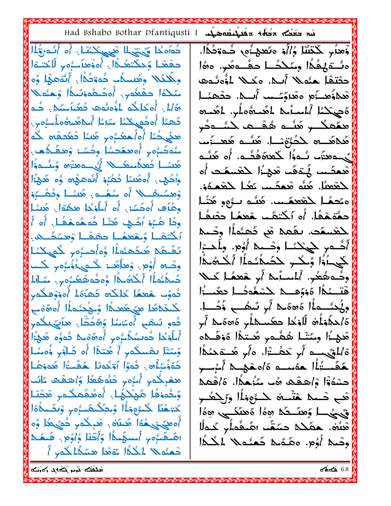Had Bshabo Bothar Dfantiqusti 1 المستحكم بديعتكم بدعتكم بديعته بمستحكم بالمستحكم بالمستحكين دَّوَّوْهِ الْمُتَّامِيِّ الْمُتَّامِيِّ الْمُتَارِيِّةِ الْمُتَارِقَةُ الْمُتَارِقَةُ الْمُتَارَقَة |وْهِلُو لِكَتْتُنَا وُ/أُو مَتْعِدِيَّةٍ هُـهَوْهُمَّا. حفَعْدا وُحكْتِعُــدًا. أُهْوَمِدَتَــرُومِ لِّلْكَتَــوْا وَتَــتَوْلِهُــا ومَــُـدْكُـــا حَـقُـــومُو. وهُا وِلْلِئَلا وِمَسِلَمٍ خُورَدُا. أَتَوْعَهَا وُو حثتقًا هنَّه لا أب). وكلا لمؤُونُوها سَّكْهُ! دَفْعَهُمٍ. أُودُعَفُونُنَّكُمْ! وْهِنُوحًا هْدْؤُهِــزُمْ وَهْرَوِّـُــبِبِ أَبِــدْ. حَقْهِيُــل هُ/ا، أُهكلِكُم اؤُهِنُوها حُعْبَرُسَكِ. شُم ەَحىڭلا أىلمىئىك لمعْمەشەملُر. لمەمە دُهنَا أُوضُهكُنَا مَدْنَا أَلكمُدوُّوا أَبِيَّونَ همّعكس هُنَّسه هُفَّسه لكنُسسوجُر مَنَّلِيَحُمَّا أَهلُمَعَّمَّوْهِ هَٰنَا فُعَْدَفُهِ ۚ ثَمَّ مَٰٰٰۂمَٰ۔۔ مکْحُوْٓۃِۦ۔۔۔ مَنۡ۔ مَٰنِہ مَٰنِہ نَہ مْدَدَّوْمِ أَوْهَدْمَا وَدُمَّة وْهْدَهُمْ. يُ حَمَيْتَ شَـوَدُّا لَكَعَبَهُ قُشَـدَ. أَن هَنْسَد مُسْا مُعاَسِعًا ﴾ ﴾ الله عاش وُسُدوًا أَهْمَكُسَا بُمَّاقَاتِ هُدِيُّا لِكَمْسَمَّدَا أَنْ واُكُمْ.. أُهمَّننَا كُمَّرْ أَنُهِ مَهْرُه وُهِ هَٰذِا لِكَعْمَالِ مَحْدٌ مُحَمَّىبٍ عَمَّارٍ لِكَعْمِدَوْ. وْهِيْبِيْهَا ﴾ أَوْ مُنْعَدِي هَٰنِيًا وَقُفْسَرُوْ ەئجھا كەھكىب. مُنُه بْؤُومِ مَّتْنَا وهُلُف أُوجُمُنِي أُو أُلِلُوجُا هِهُوْلِ هُبِيُا حمَّةهَفُا. أُه ٱكْتَمَّب هَعْمًا حثَنفُا ودُا هُـَرْوْ اُحُــٰجِبِ هَٰـٰٓئَـٰٓا خُمِـعُمَـٰهُـٰا ۖ. أَه أَ لحقسعُت. تقُعِدْ مْنِ كَعِنْقَلْمْ وَصْبِدْ أكتفا وُحْعِجُا حِقْفًا وَمِنْكُمْ. أُكُــورِ لِــهَـْـُــل وكَـــمِدْ أُوُو. ولَمَـــْزِا تَصَّمَّهُ مُتَصَمَّمَأُا وُهَأَصَبُومِ كُمِيكْنَا كَيْحَدُوُّا وُحْكَى حَصَّمُتَـمَاْا أَكْـرْهُ مَاْ وْشَاهَ أُوُمْ. وْهَأَهُمْ: ݣُمْيْدُوْشُومْ كُمْتْ وضَّـٰہِفَعُدِ. ٱلمصلَّـٰہ ٱُرٖ حۡعفَـٰا کَــٰلا ضَّكُمُّهُ أَكْتُمُكُمْ وُوَدُوهُكُمْ وَمِنْ مَخْلَقَاتِهِ ْ قْتَـٰىٰدًا هَٰذَوْهِـــدْ حْـْمَـْمُوكُـــا حَجَّــــزُا ثُموًى هَعِمًا كَالِكُمْ دُهِزَهُا أُوزْوْهِكُمْ أُولُكْــُــداًا هُ۞هَـدْ أَبِ تُـمُّــبِ وَُحُـــا. لَّكْتَدَهُمَا مِيَ مَعْمَدُا وُجِهْدَتُمَاْلَ أُوهَوَّتَ ثُمو سُهْمٍ أُمَّتِسُا وَهَجُخًا. هزَايَكِيكُم دَّا بِدَكُوْلُمْ لَا وَحُد الْمَسْلَمَالُو وَاحِدَ مِنْ أَو ٱلْمَادَٰدَا خُەنسُكُنُوم ٱوھَوْمَكَ ثُووُه هَكُوْا هَهِـزُا وِمَتْـٰا هُهُـٰم ٖ هُـتذَاْ هُوَهَـٰدُه وَٰمَتْنَا بِفَسِكُم ۖ أَ هُتِمَّا أَو ضَاوْرٍ وُوَسُل ةُالمُهْمِدةَ أَبِرَ تَنصُــتْزَا. هَأَبِرَ هَــتَمَدَدُاً! كَفَنُتَرَأَهِ . ثُدَوًا آَقِنُدَنَا ـ هَقَتْرَا ۚ هُدَوْهَا ـ سَمُقَسِيُّ أَلَّا بِعَمَىتِيْهِ كَارَهُهُمْ لَمْ أَسْرَسِتِ هڤَرِنَّدَمِ أَنْزَەمِ خَشَعَعَدَا وَاهفَتِ مَالَت حِسْمُوْٓا وْاهِقْتِهِ هُبَ مَنْزَهِكُمْا. هَاقْعِظْ وًىثُدوَهُا مَّهْلاَهُا. أُدْهُدَكُدِ شَحْسًا مْبِ تَــما هَنْسة لِمَــؤَوذِهُ! وَرَكِـعُسِـرِ كَتِمْنَا كُنُودَاْ وُحِكْتُمَنُومِ وَتَصَدُّدَا فَيْحِيًا وَهِنَــدَهُ هِهُ أَهْمَنَكَــِي هِهُ ا أَهْرَبْهَا هُمَنْهُ . هَبِكُمْ وَهُمْ وَمَنْ وَالْمَرْضَى وَأَ هْلُهْ. هفَكُمْ حَنْقُتْ اهُتْقُهِلُو كَتَالًا اهُبِقُبُومٍ أَسْتَهُبْدًا وَأَخْبَا وُأَوْمٍ. فَيَضْهَ وتَعط أُوُم. وهَمَّمط كَعِنْدِيلا لِمُحْدَا تْعِنُهِ لَا لِكُمُّا تَّوْمَا مِسْمَٰلِكُمْ أَ

تمنافهم بالمحفور وأملكم

 $\mathbf{x}$ tr $\mathbf{x}$  68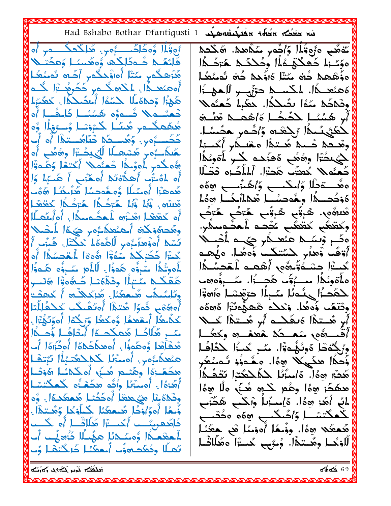Had Bshabo Bothar Dfantiqusti 1 المعركم بعضكم بدين بين المستمركين بين رُّوةُا وُوَجَاجَــــرُومٍ. هَا كَمَكَــــومِ أَو تَّقَعُّمِ وَزُوَّةُ أَلَّ زَاجُوبِ مَكْاهِدًا. ﴿ كَحِدًا فَائْمًا شُەئابْدە وُەمّْسْا وُهَتَىلا وَيَسْنَطْ حَكَكْمُ شَادًا وَحُكْكُمْ هَٰـٰٓتِكُمَّا هُنْعِكُم مَثَّا أُورْدِكُم آصَّه ثَمِنُعُا<br>أُومِنُعِـدًا. بِالْآهِكُـمِرِ خَضَهُــتَا كَــم وَفَعْعَدُ حُثَّ مَتْنَا وَاؤُحِدُ حُثَّ نُقْطَط كَمْتَحِدَّا. لِمَكْتَسَبِهِ حَرْبُهِتِ لِلْحَمِّيَّا هَهْزَا وْحِدْهَ لَمَا حَسَّدُا أَسَصَّحْدًا. كَعَنَّهَا وِثْمُكُمْ مَدُا بِشَكْمًا. حَقَٰذٍ كَعِنُهُ لَا تَعتَــما اللَّــموُّه مَّــٰئــا دَاحفُــا أَه أُبِ هَسُمًا حَصَّصًا هَاهُمِــد مْشُــْه هُهُعكُــم مُنَــٰلِ كُـثِرْتِــلِ وَُـــثِرْفُلُ وُهِ لِكُعَيْنِ مُسْلَمَا ۚ رَحِكْتُ وَٱكْتُو ۖ حَصَّسُلًا. حَكَبِ وَمِن وَهُمْسِكُمْ شَلَاهُ ـ تَمْلَا أَه أَنْ وقبعط تحمط فحتفا مقبله أئمينا هَلاَسْؤُورٍ هَنْبِهِمَا الْكِيضَةِ وَوَهُم أَو لْكَيْعَتْرًا وِهُمَّى هَفَنَدَه كُمْرٍ لَمَتَوَبِّدًا رَّةُوحُدِّبِ لَمَوْجِدًا شَعِيَّة لَا أَكْتَمْا وَضَوَرًا كَعِنْهِ لَا الْحَيْنَاتِ هُدْرًا. أَلْمَلَاكُـزِهِ قَضْلًا أَه لمَمْتُو أَهِلَّاةتَمَا أُمَمَّنَى أَ هَٰـبًا وَا ەھْــــةْجْلَا وَاْسْكَــب وَاْھُنَّىــب رەەَە هُدهَاْ أُوسُىلًا وُوهُوصُلاً هُزُنْجُلًا وَوَمُو دَوْحُدےُ الْمُحْمَدِسُمِيا مِّحْمَلاً مِنْكُمَا مِنْ مَا هَسْتَمَ وَآَلَمْ مُحْتَكِمًا هَبْدُكُمْ الْمُحْتَكِمُ الْمُحْتَمَدُ مْللثَّەر، شْرْبُّى شْرْبُّى هُتۈگ هُتۈگ أَو خَعْفَا آمْنُرْو الْمَدْدِيماً. أَوأَيْتَصَلَّا وكَقْفَعِ كَقْفَبِ حُدْدِه لْمُدُّدِمِكْرِ. وهُدهُوْكُهُ أَحْمُعِكُمُّوْمٍ ذَكَرَهُ أَحْمَلُ وصًا وَبِسَبِهِ عَيْمِيهِمْ بِهَبَ أَشْبِيلًا كُسْمْ أُهْوُهِدَٰءَمِرِ لَلصُّمَاءُ كَكِتْبًا. هَٰبِنَبِ /َ أَوْقَبْ وْهِأَنِي حَمَّتَكُبَ وُّهِهَا. وَيُحَفَّ كَتْرًا حُكْرَكُمْ شُوُرًا رُوْوَا أَعْصِبُمَا أَو كَسْتَرَا حِسْفُقُمَهِمْ أَهْمِـهِ أَهْجِسَـهُ! لِمُوتُمُّا عْبِرْهُ هَوَدًا. لَّالُمْ مَيْرِوُّه هَجْوَا ولمُقوِيكِما مسرُوَّبٌ هُجِسَرًا. مَيْسِرْوُوهم هَقْكُمْ مُتْبَأًا وَثُمَّةَتْ أَكْوَّةً وَقَامَتْ اءَّمِنْهِ عَلَىٰ الْمِنْدِ الْمَسْرِدَاءُ عَظَمَةَ الْمَسْرَدَةِ الْمَسْتَمَسَ وتَأْسُمُو مُتَعَمِّيًا. مُرْكَلاً مِنْ أَكْمِدْ: أُهِوَّةُ وَحَوَّا هُتَمَّا أُوتُفَيِّكُ بِّكَحُلِلُنَّا وثتمًا وُههُا. وْتَعْطَ هْھِهْمَانْزَا هُهِهُه كَذُبِعُلِ أَنْهَجَهُلْ وُوكَحُلِّ وَيَكُوْلُ أُووَتَكِيَّالُ. |أَبِي هَــتمْلَ هَـمَكَــد أَبِي هَــتمْلَ كَـــلا مِّبِ هَٰلَائُنَا هُمَكُمَـهُا أَبْدَاقُنَا وَجَــدًا أقىسۇە شىمسكى خىدخمىس وكمكى هْڪَاهْل وُهِجُودًا. أُهِعِدُكُمْهَا أُهِجُرْهَا أَب ورُكْدَهْا هُوبُهْدَوْا. مَبْ كُنْزَا حْدَّاهُـا عَنْعَكُثُومِ. أُوسْتَنَا كَكِيكَعَنَّـبُلَا تَبْتَقْـا ذَٰهَ/ هکَیکٌ ۱ِهْ١٥. مَشَـُدوُّذِ نُـمنُمُو مِحَمَّـزَةِ! وَهُنْـمِ هُــَىٰ أَوَكُلُّكَـا هَوْنَـا هَدْ: 1،00. هَ/مِنَّرُل لِلْمَلِكِتَةِ لِتَّذَكُلُ أَهُرْهُ!. أُوسْرْنُا وَأَثُّو هَدَمْرٌو كَمَكْتِسْهِ هدهًكُ: وهُ أَ وهُمْ كَلِهِ هُـَىٰ وَلَا وَهُ أَ وِثْمَاهَ بِنَا مِنْ مِنْقَا أُوَجِّتْنَا مُعْمَلَاءًا. وُو لْمُ أَهَٰذٍ وَهَٰا. هَ ُسِنَّالَ وَٱلْحُبِ هَجَّتَب وُّحُمْلِ أُووَّاوْحُل مُحْمَحَمْلِ حُكَلُّوْحُلِ وَمُحْتَوْلُ. **ڭم**ڭتشــا *ؤاڭ*ىگىپ <sub>ئ</sub>ەەە ەڭقىــ دُامُدِمِهَمْسِي أَحْسَنْزَا مَكَلَاتْسَا أَو كُسْب مَعْمَلِهِ رَوَا، وِذُهُمْ أُوْضُلُ هُو هَيْدًا أَحْتَحَمَا وُمِنَـٰهَا مِهْنَا دُرُهِ لَي أَب لَّاوْكُـا وِهُـتمْاً. وُـرَّبِ كُـــْٓا ۚ هَكَلَاتْـا تَعِبَّلَا وِجُعَجَدِووُ ۖ أَنْعَعَبُّ إِجْرَجَتَنَّمَا وُبِ تلناهم بالخطر بابه تلفله  $\mathbf{K}$ م  $69$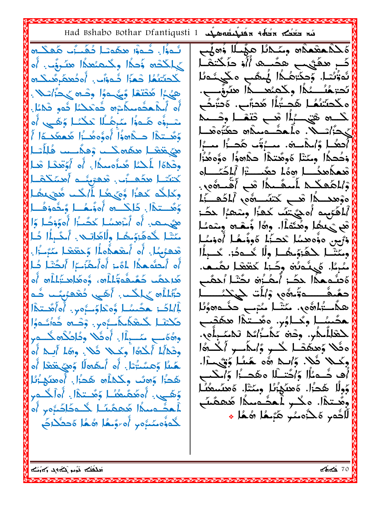Had Bshabo Bothar Dfantiqusti 1 المَعْدِ بِهَامَ Had Bshabo Bothar Dfantiqusti 1 كَلْمَعْمَدُهِ وَسُلَمُكُمْ هِهُمَا ذُهِبَهُمْ يُبْوزُا . شُبْوْرْ مِمْهُمْ أَرْهَبْ بِّبِ مُحِكْمِهِ كَعِ هَفَتَى مِكْسِهِ أَأَوْ حَزَكْتَهْـا جالكتُه وُحِدًا وِكْتَعْتُعَدًا هِنُوؤُبٍ. أَهْ لَّەتُسُّا. وَحِكَّاتُمَا لُمِىقَى مِكَّىمَىُّەنُا لَكْحَنّْتُهُا خْمَرُّا خُورْبَ. أُوضُعْجَرْهُنْكُ: و تَحتِمُّلُــــتُمُّا وكَـٰهِتُعــــــمَّا مِتَرِّقَـــبِ. هيدا هَتَتَمَا وُجُدُوا ودْهِ حِدَّاتِي . ەݣحنّْنىُمْ ھَجِيّْأَا مُحرَّب هَجّْنَجْ أَه أَحْلَمْحُمْسِكُمْ وَ حُمْدَتْنَا فُو فَكْتَا. كم هي ألا هُبِ دُتَمْ ودْعِمْ شَرِؤُه هَـٰهِۥُا سُرِهُـلًا تَعَكْـَا وَهَـٰي أَه حَدَّاتِكْلَ مِلْمُصْـمِيلَة صَفَّةِمْقَــا وَهُــتِمْلَ حــكَمُووَٰلَ أُهوُهِ هُــزُل هُـمعَكَــمَا أَ أَحعُــا وُٱحدَّـــة. مـــُزِقُب هَٰحــزُا مـــرُا محَمِّقَةًا مِنْ مِنْ الْمُسْتَدِينَ وَالْمُسْتَدَمَّةُ وَالْمُسَارَّةِ مِنْ الْمُسَارَّةِ مِنْ الْم وَحُحِكُمْ وِمَتْنَا هُوهَتْݣَا حِكْلِهِوْا هُوُهِمْدَا وَشْدَهُ| لَمْكُمْ هُدِأُهِ مِيكُلْ. أَو أَوُقِيْدًا هَذَا تَعْمَدُوحُـــا «هُمْ تَعْمَــــــٰٓءَا ٱلْمَحَـَـــاه كتسًا مدًفتُ، مَفْعَهُمُ أَمْسَنْهَا وْالْمُعْكَــدْ أُسِعَّــدَّا مْبِ أَقْسِقُورِ. وكلكم كعثل وُي هُما لِمُ/كَمِب هُدَيْمَا هوهدجُا هُبِ كُتْئُبِ هُمِ ٱلْمَدْيَّا وَهُـــتذَا. دَاكْـــْـهِ أُوزُـهُــا وُئْدُوْفُــا أَلمَاهَجَمِيهِ أَمِنْ مَسْتَرْبُدِهِ أَمْرَ الْمَسْتَمَرُّ الْمَسْتَمَرَّةِ مِنْ الْمَسْتَمَرَّةِ ا مْهُمِيعٍ. أَو أَخْوَمْنَا كَحُبُّوا أُودُوْحًا وَا هْدِيَ عِظْمٌ الْمَعْ وَهُمْ الْمُعْصَرِ وَسَمْعًا مَتْنَا كُوفَرْمَشَا وِلْامُاتِينِ. أَجَبَأَا دُا وْزُيِنِ وَوْدَهْمَا تَحْدَٰدُا وُوَمَّطًا أُدْمِنُيا هْدْمُ بِمَا. أَو أَعْتَمَدُّومُا وَحَقَّقْطَ عَبَرْ أَر. ومَتَتْمَا حَدَّرَ مَعْدا ولَّا كُدِدَٰ: كُدِمَّا أَه أَحثَمها لمؤمز أُهأَعبَّا أَنحُنْا دُل مُعْمَدُ الْمُتَمَمَّدُ لِمَحْمَدِهُ مِنْاعِفُرِهْ .لَابِمْه هُصْدِهِهَا حَدَّ: أَنفُزُه نثَتْنَا أَحْقَب هَرَ حَصَّـ حَمَّـقُوتُهَا أَنَّ ، وُوهَاهـتُهَا أَو أَو دَّاْلِمَاهِ ﴾ الْكَـبِ أَهَي دُهْفَهُمَّتْ ذُه حمّْىڤْـــــەۋْمەۋە ۋامْتْ لْمَهْكْسْـــــا ھگَـــتُلھُُوب. مَتْـَـا مُبْبِ حَنَّــهِوَنُا إْلَاضًا عَصَّسًا وُوتَدَاوَٰتَوْمِنِ. أَوْأَهُــتَدَأَا ـْمَشْمِيلِ وِكْتَاوُبٍ. وَهُتَـتَدْاً مَمَكَّضِـــِ صَحْبْنَا كَنْعَكُنْكُمْ بِمَوْمٍ وَقْدُوا هُوَأَشُووُا لحقللَعفُر. ودْفَ كَلَمْسُوْاتُكُمْ لْكَلْمَسْرِلُوم. وِهُمَبِ سَبِيرًا. أُوثَلًا وِتُلْائُونَكُمْ يَسْمِر ەئْلا ۇھھُنْسَا كْسِر وُالْمُسْنِ أَكْسُوا وِضْهُلُمْ أَحْدُهُ! وَحُمْلاً ثَلاً. وَهَا أَبِيهِ أَهْ وِكَمِلا قُلاٍ. وَٱلط رَهُ٥ هَمْلُ وَقِيْمِهْ!. هَٰىنًا وَهِيَبْتُوْلِ. أَو أَحْقَاهِ لَا وَمِيْ هَٰهَا أَو أُفِ خُــٰءيُّاْ! وُٱخْتــْلَا هِ هُجــۃُا وَٱلـكَب هَدُا وَهِبٌ وِكُمْلُو هَدُا. أُوهِنَيْ أَنْ وَوِلًا هَدَٰۥٗا. هَمنكمْۥُنُا وِمنَّنْا. هَمنسَمْنُـا وَهَـــِي. أُهمَعَمُعُنُــا وَهُـــتمَّا. أُهلَكُــمر وِهَـتمْاً. وكُــرِ أَحْشُـوملَاً هَٰهِمَّسَـحِ أَهفُــْمِيكُا هُهمَّيِّـا كُــْمَحَاجَّبُورِ أَه الأَعْمِرِ هَـكَأْهَـمُـرِ كَبُنِـمًا هُـمًا \* لْكُوْوْمِنْتَوْمِرٍ أُوْجُهُا الْمَغَا وْحَقَّلَاتُ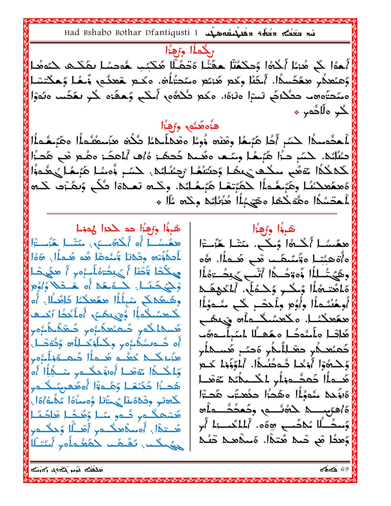Had Bshabo Bothar Dfantiqusti 1 سنة موسَّمة به السلام Had Bshabo Bothar Dfantiqusti 1

رجْهاً وَوَجْزًا أَهِمَا كُمْ هُزِيْا أَجْدَهُا وَحِكْمُتْا هِجَتُا وَحَمْلًا هَكَّيْبِ هُوصِبًا بِمَكْتِ حَيْوَهُا أ وَهنُعدُم مِعَصَىدًا. أَحَمَّا وِكُم هُزِيَم مِنْحَتُلُمْ. مكـم هَعدَّم، وَحمَّا وَحكَّتَسْا ەمئچتەھەت چېڭلاكى تىنۋا ەتۇۋا، مكتر تېڭھەن كىگىنى كېچى ئىش مىلگۇا ۾ گو مل*ا*ئمو ۽

## فأوقُدُو وَإِجْرَا

لْمَحْمِىمُا كَمَعٍ أَجُلَّ هَبُعُلٍ وقَتَلَهٍ وُوعًا هَقَكَلُكُمْا شَكْرَهَ هَزَىعَقُدَاْلِ هَجَّىمُاْل حنُلُكُمْ. حَمَّدٍ حزَّا هَبْسُمَا مِمَّـم هَنْـمِمْ خَحِفَۃٍ هُ/ف ٱلمَحَّـۃِ مصُـم هَبِ هَجزًا أَمِشْرِ الْمُبْتَمَ النَّاءَ بِنَسْهَ بِكُمَّاتُكُمْ أَهْلَيْهِ وَسَمَّدَ الْمُكْمَةَ الْمَحْمَدُ ا هَ مَعْمَدِكْتُنَا وِهَ َمِيْهُواْ لِكَمَّ تِنْهَا هَ َبِمُعَاتَدٌ. وكُلُّهُ تَعْلَمُوا ثَكُّلُ وَيَكْتُو كُلّ مْ الْمُصَمَّلُهُ الْمُرْتَقَادِ وَمَنْ الْمُؤْمَّلُ الْمُؤْمَّلُ مَنْ الْمُسَمَّلُ الْمُسَمَّلُ الْ

هْرِؤُا وَرُهِزُا حه حُدا لهوما. محمَّسُاً أَنْ أَحْدَثَ بِ سَتْبَاحَقُوْتَ إِ لِمَحْدُّثِهِ وَشَدْنَا وَّضُوهَا هُو هُدولًا. هَوْا مِيكُمْا وَّدْنَا أَيْ بِدُرْهُ أُسْرُوبِ أَهْلَيْهِ الْمُحْيَدِ وْكَيْضُبًا. حَسَّمُهُ أَو هُدْمًا وُاوُم وهَيعَدِيكُمْ سَبِلُمُّا مِعَمِّدِيْنَا دَامَّيْلَا. أَه لَمُعْسَيْكُمْ} وَيْ بِمَمْسَ، أَمِلَّكُمَا أَجْبُ مُسلالمُدر حُيعِنُعِداً نُزُورٍ حُيعَةً الْمَرْورِ أَه شَـٰهسُكَّمُوْم وكُـٰلُوكَـٰالَمْ وَثَقْصَا ِ مزَياتِكُمْ كَمْخُدْ مُحَدًّا حُبْعَدَوْلَمْرُومِ وَٰٓاجْدُهُۢا ۖ يَّەْقَصَا أُوَازْجَكُسُو ۖ جَسَجُٰٓاًۢ أَوَ هُصَرًّا كَكُنْفَـا وُهُـورًّا أُوهُـفْبِنُنْدُـوبِ لَكْمَانُو وَشَدْهُ مِنْ أَمْرَتُنَا وُمِعَنُوْا كَذَّمَاهَا }. هَسْهِگُــمِرِ شُــمو مَـُــل وَهُبِضُـل هَاضَبَـٰل مُصْتَمَّا. أَوْسَمُعْكُمْ أَمْضُلَّا وَجْكُمْ حَقَّ الْمَسْتَمَاءِ مَتَّقَدَّمَةٍ مِنْ أَمَّتَنَالَمَ

هْبِوُّا وِرُهِۥُّا هِمَّسُـا أَحْـهُا وَحَــّى. مَثْـا هَزَّـــْتَا ەأةھبُنْدا ەززىئىگى ھَب ھُدەلًا. ﴿ وهَيَّتُ الْمَاسَ وَهُوَدُهُ أَنْسَبِ كَمِيْتُ وَهُوَ الْمَاسَنُوْهِ وَمِنْ الْمَاسَنَةِ مَامَّتْشَاءُاْ وُحْبِ وَحَـٰمَٰلَ. ٱلمَّحْمَدُ أُوهُنُنُـٰهِ أَا وَأُوُم وِلْمَحْـَـ ۚ كَبِ مُنْـٰهِ وَلَمَّا ھكەلگىل ەلگەششىگ مارى ئىلگە هُلِصْلِ مِلْمُدَدُّلِ مِعْجِبُلِ لِمَبْرِلْمِدِهُم كَعنُعْــدُمْ حَعْــالْمَـٰدُمْ ۚ هَـَــْـ هَــْــــالَمْر وَحْدَهُوْا أَوْحُمَا شُحَصُّكُمَا. ٱلْمَوَّوْدَا حُدِّر هَــواْل حُمدُــوواْرِ المَـْــواْمَ مّوقبا هَاذَها مُدَوُلًا مِعْدُا حِنُعتَ مَدْتَا كَافْجَمِيْتِكُمْ لِكَانُفْتِيمَ وَخَعْجُفْتِكُمْ وَا وَّستُــُّلا مُـدْتَـــب «هَ٥٥. ٱللمُّـَــــزلا ٱبر أَوَهدُا هُمْ شَمْ هُتِمْاً. ةَسْلَاهِكُ تَسُكُمْ

تشابههم للإنكش بمقفى المتفقفة

 $x + 69$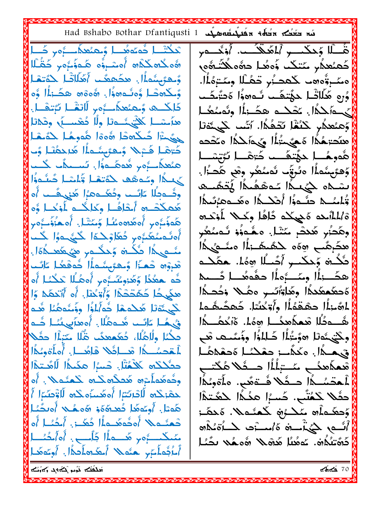Had Bshabo Bothar Dfantiqusti 1 المستحدين بدين المستحكم المستحكم المستحدث تَفْسُلَا وَحكْسِبِ ٱلمَعْلَمَٰتِ، أَوْنُحِسُوبِ تَكْتُسا خُومُوهُسا وُحِمُعِكَمِسوُوبِ حَسا وَوَمَكُومَكُمُوا أُوسْبِؤُو صَوْمُؤُومِ كَقُطْا كَعنُعدُم سَّتَكَت وُهمُدا حَدُّه الْأَسُدُّهِ) وُمعوَّمِسُه أَل. محَمِّعَت أَهْلَاتْ الْحَمَّتْهُ ا ەممْبِۋُەھە كْھھىزُى تْھَىلَا مِمَّتِھْلَا. وُكْلَّاهِ أَوْ قُدْهُ وَالْهِ مِنْ مِنْ مِنْ الْمُؤْمَرَةِ مُشْتَرَاً أَوْ مِنْ وُرو هَٰلَاتْـا حجَّتفَــٰ نُــهووُّا هَحَرَّمَــُــٰ كَلِكْــدِ وُحِبْعِدَاـــرُومِ لَلْتَشْــلِ تَبْتَقْــل. حُدمًا ونَقْطَدُ هِدَا الْمَعْمَدُ الْمَعْمَدَ هدَّمتما كَلْتَي جُده ولَّا دُهْستُو وَحْلانَا أَوَهنُعدُمِ كَنُقْا تَفَعُدًا. آتَس كَي تَفَالَ حَدِّيْتًا حُكْمَهْمَا هُوهُ الْمُوهَا حَدْمَهَا معصّده الْمُكرّضي الْمُتْسِرْجِمْهُ الْمُحْتِضَة َ دَٰۃِھْا فَسْرِيْا ۖ وُ؎وُجِسُّےاْ | هَٰذِيجَھُنَا ۚ وُبِ هُومُــا حدُّتفَــــ دُتهْــا تَرْتِسْــا هَنْعَدَاكُونَ هُوَهَدُوْلَ. تَسْتَدَفَّلَ لَكْتَبَ |وٌهرُمشَه|ا دَنُرَوُّٮ ثَمَنُتُو وِثْعِ هَٰدَٰ;|. حجبكم وعادها حكاتها وللشا حُسْدو بشباه لكهيدًا عُنْ مُصْبَرًا لِمُتَهَنِّبَةٍ مَنْ مَصْبَدًا وثَــدمَاا عَائــب وحُكَــدمَـُرا هُنههفَــب أَه وُّلْمِنْـــــــمْ حَسَّــوُّا أُصْــــــمَّا مَعْـــمِصْرِتَـــمَّا مُعكِّسُـ ۞ أَخْلِقُـا وكَلِكُــهِ لَمُؤكِّــا وُه أَهْلَلْأَمِدِهِ مَٰهِكُمْ دَّاهُا وِكُمْ لَمُوْتَدِهِ كُوفُتُوم أُوهُدُوومُنُا وَعَتْدَا. أُوهنُؤُتُومِ وهَدُر هَٰدثَہِ مَتْلَل مِمُّدوُو نُـممُعُو أُوسُمنُعَيْرُومِ دُعَارَهِكُمَا كُنُّهُوا كُب هَدَمِّمَبِ هِهَهِ حَشَيْهَا وَمُسَارِدًا الْمُسْتَمَرِ مْسْمِيكُا فَكُنْ وَحِكْمِرٍ مِحْكِمُدَكَّةَ!. أَ ئَكُـ ۞ وَحكَّـــرِ أَكَـــُلَا هِءُL. حَمَّكــه مْروْرُه كَعِبَّا وُجِعَهْبِشُجَاًا خُوفْعُنَا بَالَيْت هكَـــزِلُمْ ومَـــزُهِلُمْ دَهُومُــــــــر كَـــــمِـــم دُّه حَعَٰدًا وَمَّرْوِغُتُوْمٍ أَوْهَٰلًا تَحَكُّلَ أَو أَهْحَكُمْ مَكْلُمَا وَهَٰذَارْتُسُو وَهُلا وَحُصَدًّا منَيْ دُا دُهُدَدْا وَأَوْدُنَا. أَه أَأْتَمَهُ وَا لمَمْنِمُا حِمْقَهُمُا وأَوْحُسُا. حُمْحُمْهُم لْكَيْتَةِلْ هُكُمْهْلْ شُوَابُلُوْلْ وَوُسْوَهْدًا هُد فَيْ هُـَا عَانَـب مُـدهُمُّا . أُوهدَٰنِي بُنُـا خُـد رَّقْــوْدُلَا مْعِيْهِمْ مِدْبِ لِمَاءِ. وَرَبُّحْمُـــدُا حَكْبُل ولْلصُّلَّا، حُمَّحَمَّحْتَ مَّثَلًا عَتْرَاْلِ حَفَّلًا وكَتَبِيَّدَنَا هُوَّتُٰٓئًا كَلَّلُوَ۠ا وِؤُسَّىكَ هُبِ أَحْدِسُكُمُ قُدَائُكُمْ قَائُعَكُمْ. أَمَلَّةَوَعُمَّا ق هـدًا. هكذُــز حقحتُــا هَحقههُــا حثُكْلُو لَلْأَهُنَّا. شَيْرًا عَكْلًا لِّاهُـتَدَّا |قعكَمحكَــــ مُــــتِكْلُما صـــقُـلا عُكْتــــح وَحُدَهُداً مِنْ هُدِكُرُهُ حُمْدُ اللَّهُ عَلَيْهِ مِنْ الْمُؤْمَرَ أَحتَسُـدًا حــثَـلا فُــتَمَّى. مأَةونُدًا حفَزِكُم لَادْرَبَّتَا أُوهُسَرُوكُم لَلْوْصِّيَا أَ حفًلا كَمُتُبٍ. حَسبًا مِنْكُل لِهُتَمَّا هَمْتَا. أُوسِّعَهُا تُعْتَقِهُوْ وَهُمْهُمْ أُوتِّصُبُّا. وَحَقَدَهُ مَا مُكْمُرُ مَنْ الْمُحَمَّدُ ﴾ مَحَقَّدَ دْهِنْــه لا أُودُه وَهْــواْل دُهَــز . أَيدُـُــل أَو أَلَسُم لِكَيْأَسِينَ هَامِسْنَوْتَ لِكَسَانَةَ مُكَانَّةٍ مَّىكْسْبُوم هُــوْاْ وَأَسْبِ. أُوَأَمْدُنَـا أَخَشَتَنَكُمْ مَنْ الْمُحْمَدُ الْمُعَمَّلَاتِ الْمُحَمَّلَاتِ الْمُحَمَّلَاتِ الْمُحَمَّلَاتِ أُماُجُماً مَنِي الْمَحْمَدُ الْمَحْسَنَ الْمَحَالَ. أَوْحَمَقُوا حَدُوْمَة عِرَّوْهُمْ بِمَهْ حَنْفُلْهُ  $x + \frac{1}{2}$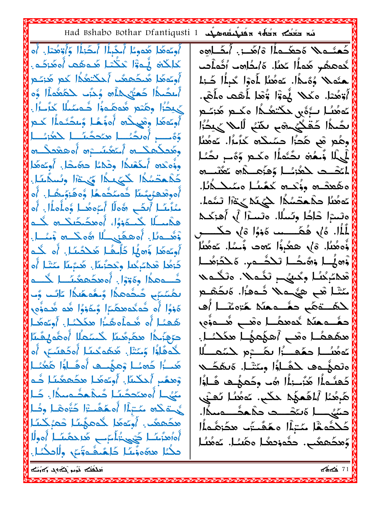Had Bshabo Bothar Dfantiqusti 1 المَعْدِ بِهَامَ Had Bshabo Bothar Dfantiqusti 1 أُوعُوهُا هُدوعًا أَحْدَلُهُ أَحْدَلُهُ وَأَوْهُدَا. أَو كَعِنْــمِـلا وَحِكَــمِلْمُ وْاهْــزِ. أَحَــٰلِ100 لْحَلِكَةَ لِمُوتَرَا تَخَتْصًا هُـوهُڢ أُوهُـرَضُو . |گەھھُرٖ ھُەلُمْ| مِّطْلٌ ہُ/مەُلھە اُثُمالَّف أوعوها هُمجُعفُ أمكتفكا لحم هُزعُم هنَّه\ وُهُكُل. عَههُمْ لَمُهوْل كُمِلًا كَنه أَستَمِدًا تَعْتَبِيهَا وَحَبَّب لِلصَّفَاءِ أَن أَوْهُدًا. مَكْلاً يُّوَوَّا وُّهْا لَمْقَعَ مِلَّقَ. جَعِدُوا وهُتُم هُوهُدوُا شُوسُنا جَرَّبَالَ عَمَعُنَا بِؤَيْ حِكْتَعُـدًا مَحْـمِ هَٰزَئـمِ أُوحَمَعُا وقَبِيحُه أُهزَّهُا وُعدَّدُهاْ كَــم ىصَّدْا حَقْحُكِ هُ مَعْنَى الْمَحْدَ وَهُمْ مِنْ الْمَحْدَةِ الْمَحْدَةِ الْمَحْدَةِ الْمَحْدَةِ ا وَهُـــــرِ أُوبِّدُـــا مِنْحَضَبِّــا لِكَمْرَيْـــا وهُم هُم هُدُا حسَّلَاه كَلَّمَاْ. ۖ عَهُنَا وهُدكُهكُ مِ أَسْعَفْسُوْمِ أُوهِقْدِكُ مِ لْمِمَا وَّحْمَٰثَ بِحَثَمَاً مَكْتَمَ وَّەَبِ بِحَبَّا وؤُهِبْدِهِ أَحَكْفَتِكُمْلَ وَثَمْتُلْ حَرَّمَتْكُلُّ أُوسُوهُمْ لمَحْسِبِ لِلْعُزِسُلِ وَقَوْمِيلُوهِ مُعَنْسِيهِ حَكْمَحْسُمًا حُجَيْهِ الْمَرِيمُ الْمُسَلَّمَةِ. ەھَمچىس وۇتىس كېئىلا ەمئىكىلانل أُەوھْدۇمِمَىلَا خُمْمَخُمْعَا وُەفَرْمُمِطَ. إُه .لمشْتَ اآمَرِ 1هُرْكُم الْمُسْتَحَدُ الْمُسْتَحَدَّ مْذُمِّـٰٓا ٱمۡکَے ۖ وَّٰہَ ٱلۡ ٱُـٰٓءِہُـٰا ۖ وَٰہِ اُمۡاٗا ٖ ۚ اُہ ەتىبْزا خَاخُا وِتَسْلًا. ەتسىرا ﴾ أَھ;كىل فأمسألا كْسَوْوُل أُوْمِحُمْحُبْكَ بِهِ لَكُنْمَ لْمَأَا. هُ}، هُكَـــــــــــه هُوْءُ هُ}، حكّـــــــو ِ وْهُــوْلَا. أُوهِقَنِيْـلًا هُوكْــهِ وْسُــلْ. وْْوِهُمْلَا، ۞﴾ هِعْرِوْا ﷺ وَسَلَا، وَهُمْا أُوعُوهُا وَوَيُمَا كَأَبِعُنَا هُكْشُبًا. أَو بْكُم وْهِهَٰـا وْهُىئَــا تْـْحَـْــەر. ەَـْكَرْهُــا، كَرْهُا هَدْكَرْكْبَا وِتْدَرّْسًا. هُدّْسًا مِّتْبَا أُه هْلِمَبْكِئُا وِكْسِيُبِ تَذْهِلا. هِنْشُمْلا مَتْلَمْ هَيْ هَدْ أَحْمَلْهُ أَمْرَهُ مِنْ مَسْتَمْرِ بْضُمُنِي جُبْحُوهِمُ الْجُبْهَ هُبْمًا عَانَيْتَ وُب لحَمَّـــةهُم حمُّـــهمَّلا لَهُـَّوَمُتَـــلُّ أَف هُوَوُل أَو حُوجُومِكُمُ لَا وُحُوَوُل هُو هُجُوؤُو هُعْبَا أَو شُواْوهُنُوْا مِنْكِبًا. أُوصُوَّحا حفُــمعَنَمْ خُمعِمَــا مقبٍّ هُــمؤْم، حَجَّنِهُا مِحَرِمُتِنَا لَكْسَمُلَا أُوهُولِهُمَا ههُعفُـا هِ مَبِي أَههُمهُـا هدَكَـُـا. ِكُوفَاؤُا وَ*مَ*تْلَ. مُكَوَّكِي*نَ*ا أُوكُفِيَّى أَو حَمَعُنُـــا حمَّـهـــزُا بِمَـــرَمِ كَيَنْمَـــلَّا هَبُّ أَدُّهُمْا وَعِهْمَهَا أُوهًاؤُا هَٰعُمَّا ەتعۇمە كەُلەُل مِىّتْل. ەَىھَكَىد وْهِمُسْ أَحَكْمَلْ. أُوسُوهُما هَدَّهِعَمَّمَا ذُء |كَعِنْـْمِلْمْ هُزُـْــزْلُمْ ا هُبْ وَكُعِهُـْ فَـْ اؤُا سَيُهَا أُوهِمُحَمَّسًا شَيْآهَشُوسِيًا. شَا هُ مُنْ الْمُعَهَّدُ حَكْبٍ. عَمْنُا نَعْنَى يُحقَّدُه مَتْبَهَّا أُوهُقُتْرًا كَتُّوهْمَا وكُمْ محَمِعًا. أَوَعَمَا كُومِيْسًا وْعَرْكَمًا كَحْدُه هْلَ مَترَاْل مَعَقَّمَتُو هَدَرْهُ وَلَٰا أُواُهِنَّسَا جَهْرَ تُلْبَبِ هَٰـْمَهْسَا أُوولُا وَهِدَهِهَبِ. حَثَمَوْهِمَا مِمَّسًا. عَمَّمُا ا حكْنَا مِدَهُوفُكَا حَلَمُنَفُوتَنِ وِلْاحِكْتَا. تلنابهم للإنكار بمابذ تلفظة  $\pi$ area 71